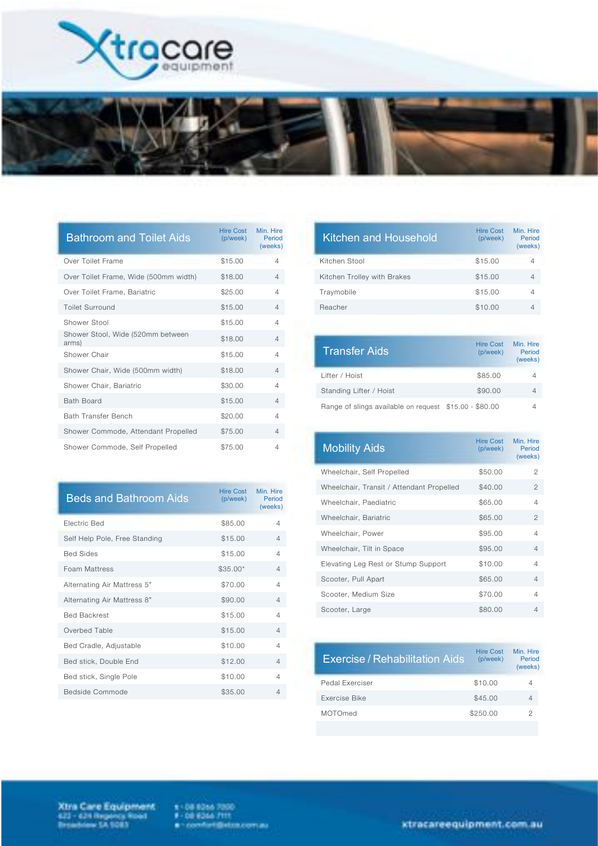



| <b>Bathroom and Toilet Aids</b>            | Hire Cost<br>(p/week) | Min. Hire<br>Period<br>(weeks) |
|--------------------------------------------|-----------------------|--------------------------------|
| Over Toilet Frame                          | \$15.00               | 4                              |
| Over Toilet Frame, Wide (500mm width)      | \$18.00               | 4                              |
| Over Toilet Frame, Bariatric               | \$25.00               | $\overline{4}$                 |
| <b>Toilet Surround</b>                     | \$15.00               | $\overline{4}$                 |
| Shower Stool                               | \$15.00               | 4                              |
| Shower Stool, Wide (520mm between<br>arms) | \$18.00               | 4                              |
| Shower Chair                               | \$15.00               | $\overline{4}$                 |
| Shower Chair, Wide (500mm width)           | \$18.00               | 4                              |
| Shower Chair, Bariatric                    | \$30.00               | $\overline{4}$                 |
| <b>Bath Board</b>                          | \$15.00               | 4                              |
| <b>Bath Transfer Bench</b>                 | \$20.00               | $\overline{4}$                 |
| Shower Commode, Attendant Propelled        | \$75.00               | 4                              |
| Shower Commode, Self Propelled             | \$75.00               | 4                              |

| <b>Beds and Bathroom Aids</b> | Hire Cost<br>(p/week) | Min Hire<br>Period<br>(weeks) |
|-------------------------------|-----------------------|-------------------------------|
| Electric Bed                  | \$85.00               | 4                             |
| Self Help Pole, Free Standing | \$15.00               | $\overline{4}$                |
| <b>Bed Sides</b>              | \$15.00               | 4                             |
| <b>Foam Mattress</b>          | $$35.00*$             | $\overline{4}$                |
| Alternating Air Mattress 5"   | \$70.00               | 4                             |
| Alternating Air Mattress 8"   | \$90.00               | $\overline{4}$                |
| <b>Bed Backrest</b>           | \$15.00               | Δ                             |
| Overbed Table                 | \$15.00               | $\overline{4}$                |
| Bed Cradle, Adjustable        | \$10.00               | 4                             |
| Bed stick, Double End         | \$12.00               | $\overline{4}$                |
| Bed stick, Single Pole        | \$10.00               | 4                             |
| Bedside Commode               | \$35.00               | 4                             |

| <b>Hire Cost</b><br>(p/week) | Min Hire<br>Period<br>(weeks) |
|------------------------------|-------------------------------|
| \$15.00                      | 4                             |
| \$15.00                      | 4                             |
| \$15.00                      | 4                             |
| \$10.00                      | 4                             |
|                              |                               |

| <b>Transfer Aids</b>                                   | <b>Hire Cost</b><br>(p/week) | Min. Hire<br>Period<br>(weeks) |
|--------------------------------------------------------|------------------------------|--------------------------------|
| Lifter / Hoist                                         | \$85.00                      | 4                              |
| Standing Lifter / Hoist                                | \$90.00                      | 4                              |
| Range of slings available on request \$15.00 - \$80.00 |                              |                                |

| <b>Mobility Aids</b>                      | Hire Cost<br>(p/week) | Min. Hire<br>Period<br>(weeks) |
|-------------------------------------------|-----------------------|--------------------------------|
| Wheelchair, Self Propelled                | \$50.00               | 2                              |
| Wheelchair, Transit / Attendant Propelled | \$40.00               | $\mathfrak{D}$                 |
| Wheelchair, Paediatric                    | \$65.00               | 4                              |
| Wheelchair, Bariatric                     | \$65.00               | 2                              |
| Wheelchair, Power                         | \$95.00               | 4                              |
| Wheelchair, Tilt in Space                 | \$95.00               | $\overline{4}$                 |
| Elevating Leg Rest or Stump Support       | \$10.00               | 4                              |
| Scooter, Pull Apart                       | \$65.00               | $\overline{4}$                 |
| Scooter, Medium Size                      | \$70.00               | 4                              |
| Scooter, Large                            | \$80.00               | 4                              |

| Exercise / Rehabilitation Aids | Hire Cost<br>(p/week) | Min Hire<br>Period<br>(weeks) |
|--------------------------------|-----------------------|-------------------------------|
| Pedal Exerciser                | \$10.00               | 4                             |
| Exercise Bike                  | \$45.00               | 4                             |
| MOTOmed                        | \$250.00              | 2                             |

Xtra Care Equipment<br>423 - 424 Regens Road<br>Broadnes 54 1083

 $x = 0.0$  (Close 7000)<br> $x = 0.0$  (Close 7111)<br> $x = 0.000$  functional compass